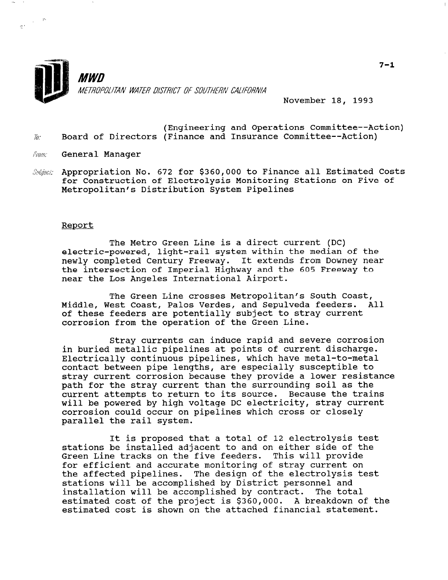

November 18, 1993

- (Engineering and Operations Committee--Action) Board of Directors (Finance and Insurance Committee--Action)  $70.7$
- General Manager From:
- $\mathit{Subleft}$  Appropriation No. 672 for \$360,000 to Finance all Estimated Costs for Construction of Electrolysis Monitoring Stations on Five of Metropolitan's Distribution System Pipelines

#### Report

The Metro Green Line is a direct current (DC) electric-powered, light-rail system within the median of the newly completed Century Freeway. It extends from Downey near the intersection of Imperial Highway and the 605 Freeway to near the Los Angeles International Airport.

The Green Line crosses Metropolitan's South Coast, Middle, West Coast, Palos Verdes, and Sepulveda feeders. All of these feeders are potentially subject to stray current corrosion from the operation of the Green Line.

Stray currents can induce rapid and severe corrosion in buried metallic pipelines at points of current discharge. Electrically continuous pipelines, which have metal-to-metal contact between pipe lengths, are especially susceptible to stray current corrosion because they provide a lower resistance path for the stray current than the surrounding soil as the current attempts to return to its source. Because the trains will be powered by high voltage DC electricity, stray current corrosion could occur on pipelines which cross or closely parallel the rail system.

It is proposed that a total of 12 electrolysis test stations be installed adjacent to and on either side of the Stations be installed adjacent to and on either side of for efficient and accurate monitoring of stray current on for efficient and accurate monitoring of stray current on<br>the affected pipelines. The design of the electrolysis test stations will be accomplished by District personnel and installation will be accomplished by contract. The total installation will be accomplished by contract. The total estimated cost of the project is \$360,000. A breakdown of the estimated cost is shown on the attached financial statement.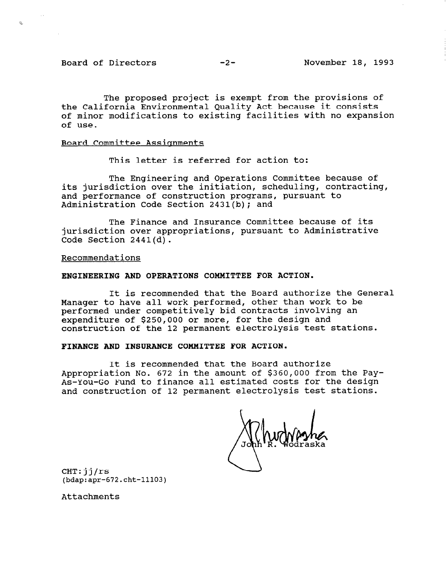Board of Directors -2- November 18, 1993

 $\mathbf{z}_\mathrm{L}$ 

The proposed project is exempt from the provisions of the California Environmental Quality Act because it consists of minor modifications to existing facilities with no expansion of use.

#### Board Committee Assignments

This letter is referred for action to:

The Engineering and Operations Committee because of its jurisdiction over the initiation, scheduling, contracting, and performance of construction programs, pursuant to Administration Code Section 2431(b); and

The Finance and Insurance Committee because of its jurisdiction over appropriations, pursuant to Administrative Code Section 2441(d).

Recommendations

## ENGINEERING AND OPERATIONS COMMITTEE FOR ACTION.

It is recommended that the Board authorize the General Manager to have all work performed, other than work to be performed under competitively bid contracts involving an expenditure of \$250,000 or more, for the design and construction of the 12 permanent electrolysis test stations.

## FINANCE AND INSURANCE COMMITTEE FOR ACTION.

It is recommended that the Board authorize Appropriation No. 672 in the amount of \$360,000 from the Pay-As-You-Go Fund to finance all estimated costs for the design and construction of 12 permanent electrolysis test stations.

CHT: jj/rs (bdap:apr-672.cht-11103)

Attachments